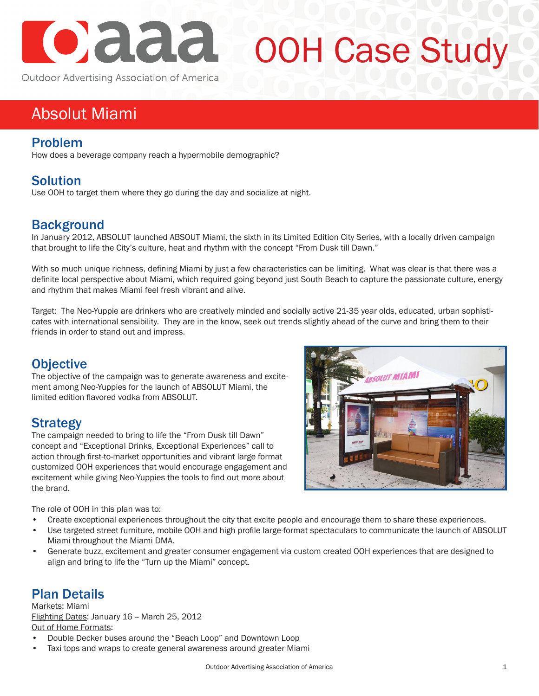

# OOH Case Study

Outdoor Advertising Association of America

# Absolut Miami

#### Problem

How does a beverage company reach a hypermobile demographic?

## Solution

Use OOH to target them where they go during the day and socialize at night.

### **Background**

In January 2012, ABSOLUT launched ABSOUT Miami, the sixth in its Limited Edition City Series, with a locally driven campaign that brought to life the City's culture, heat and rhythm with the concept "From Dusk till Dawn."

With so much unique richness, defining Miami by just a few characteristics can be limiting. What was clear is that there was a definite local perspective about Miami, which required going beyond just South Beach to capture the passionate culture, energy and rhythm that makes Miami feel fresh vibrant and alive.

Target: The Neo-Yuppie are drinkers who are creatively minded and socially active 21-35 year olds, educated, urban sophisticates with international sensibility. They are in the know, seek out trends slightly ahead of the curve and bring them to their friends in order to stand out and impress.

#### **Objective**

The objective of the campaign was to generate awareness and excitement among Neo-Yuppies for the launch of ABSOLUT Miami, the limited edition flavored vodka from ABSOLUT.

#### Strategy

The campaign needed to bring to life the "From Dusk till Dawn" concept and "Exceptional Drinks, Exceptional Experiences" call to action through first-to-market opportunities and vibrant large format customized OOH experiences that would encourage engagement and excitement while giving Neo-Yuppies the tools to find out more about the brand.



The role of OOH in this plan was to:

- Create exceptional experiences throughout the city that excite people and encourage them to share these experiences.
- Use targeted street furniture, mobile OOH and high profile large-format spectaculars to communicate the launch of ABSOLUT Miami throughout the Miami DMA.
- Generate buzz, excitement and greater consumer engagement via custom created OOH experiences that are designed to align and bring to life the "Turn up the Miami" concept.

#### Plan Details

Markets: Miami Flighting Dates: January 16 -- March 25, 2012 Out of Home Formats:

- Double Decker buses around the "Beach Loop" and Downtown Loop
- Taxi tops and wraps to create general awareness around greater Miami